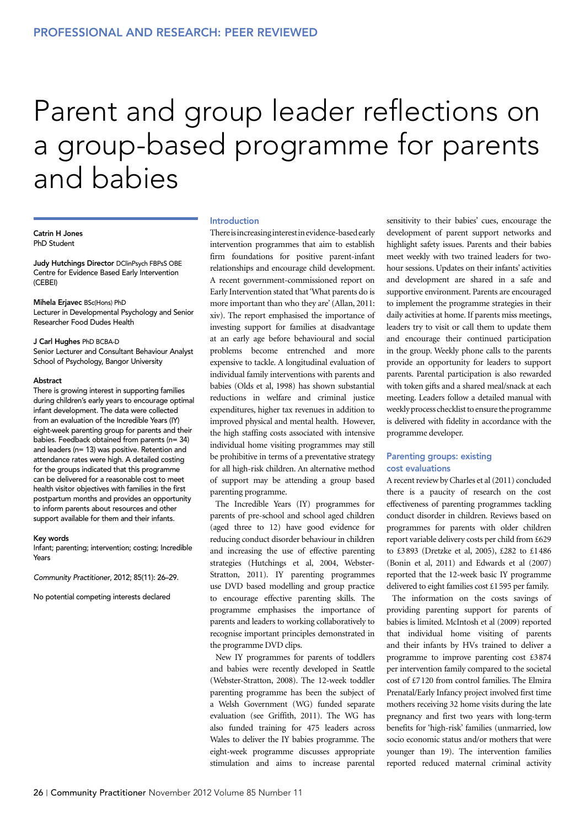# Parent and group leader reflections on a group-based programme for parents and babies

Catrin H Jones PhD Student

Judy Hutchings Director DClinPsych FBPsS OBE Centre for Evidence Based Early Intervention (CEBEI)

#### Mihela Erjavec BSc(Hons) PhD

Lecturer in Developmental Psychology and Senior Researcher Food Dudes Health

#### J Carl Hughes PhD BCBA-D

Senior Lecturer and Consultant Behaviour Analyst School of Psychology, Bangor University

#### Abstract

There is growing interest in supporting families during children's early years to encourage optimal infant development. The data were collected from an evaluation of the Incredible Years (IY) eight-week parenting group for parents and their babies. Feedback obtained from parents (n= 34) and leaders (n= 13) was positive. Retention and attendance rates were high. A detailed costing for the groups indicated that this programme can be delivered for a reasonable cost to meet health visitor objectives with families in the first postpartum months and provides an opportunity to inform parents about resources and other support available for them and their infants.

#### Key words

Infant; parenting; intervention; costing; Incredible Years

*Community Practitioner*, 2012; 85(11): 26–29.

No potential competing interests declared

#### Introduction

There is increasing interest in evidence-based early intervention programmes that aim to establish firm foundations for positive parent-infant relationships and encourage child development. A recent government-commissioned report on Early Intervention stated that 'What parents do is more important than who they are' (Allan, 2011: xiv). The report emphasised the importance of investing support for families at disadvantage at an early age before behavioural and social problems become entrenched and more expensive to tackle. A longitudinal evaluation of individual family interventions with parents and babies (Olds et al, 1998) has shown substantial reductions in welfare and criminal justice expenditures, higher tax revenues in addition to improved physical and mental health. However, the high staffing costs associated with intensive individual home visiting programmes may still be prohibitive in terms of a preventative strategy for all high-risk children. An alternative method of support may be attending a group based parenting programme.

The Incredible Years (IY) programmes for parents of pre-school and school aged children (aged three to 12) have good evidence for reducing conduct disorder behaviour in children and increasing the use of effective parenting strategies (Hutchings et al, 2004, Webster-Stratton, 2011). IY parenting programmes use DVD based modelling and group practice to encourage effective parenting skills. The programme emphasises the importance of parents and leaders to working collaboratively to recognise important principles demonstrated in the programme DVD clips.

New IY programmes for parents of toddlers and babies were recently developed in Seattle (Webster-Stratton, 2008). The 12-week toddler parenting programme has been the subject of a Welsh Government (WG) funded separate evaluation (see Griffith, 2011). The WG has also funded training for 475 leaders across Wales to deliver the IY babies programme. The eight-week programme discusses appropriate stimulation and aims to increase parental sensitivity to their babies' cues, encourage the development of parent support networks and highlight safety issues. Parents and their babies meet weekly with two trained leaders for twohour sessions. Updates on their infants' activities and development are shared in a safe and supportive environment. Parents are encouraged to implement the programme strategies in their daily activities at home. If parents miss meetings, leaders try to visit or call them to update them and encourage their continued participation in the group. Weekly phone calls to the parents provide an opportunity for leaders to support parents. Parental participation is also rewarded with token gifts and a shared meal/snack at each meeting. Leaders follow a detailed manual with weekly process checklist to ensure the programme is delivered with fidelity in accordance with the programme developer.

## Parenting groups: existing cost evaluations

A recent review by Charles et al (2011) concluded there is a paucity of research on the cost effectiveness of parenting programmes tackling conduct disorder in children. Reviews based on programmes for parents with older children report variable delivery costs per child from £629 to £3893 (Dretzke et al, 2005), £282 to £1486 (Bonin et al, 2011) and Edwards et al (2007) reported that the 12-week basic IY programme delivered to eight families cost £1595 per family.

The information on the costs savings of providing parenting support for parents of babies is limited. McIntosh et al (2009) reported that individual home visiting of parents and their infants by HVs trained to deliver a programme to improve parenting cost £3874 per intervention family compared to the societal cost of £7120 from control families. The Elmira Prenatal/Early Infancy project involved first time mothers receiving 32 home visits during the late pregnancy and first two years with long-term benefits for 'high-risk' families (unmarried, low socio economic status and/or mothers that were younger than 19). The intervention families reported reduced maternal criminal activity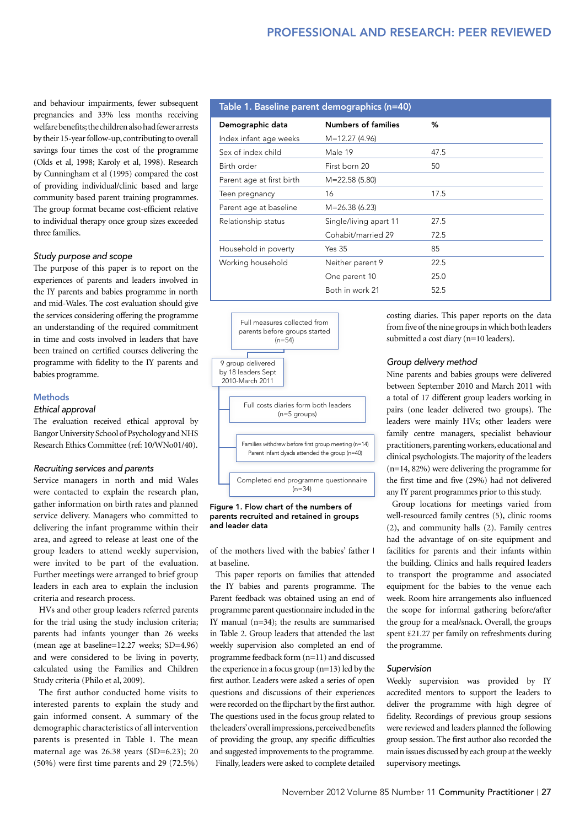and behaviour impairments, fewer subsequent pregnancies and 33% less months receiving welfare benefits; the children also had fewer arrests by their 15-year follow-up, contributing to overall savings four times the cost of the programme (Olds et al, 1998; Karoly et al, 1998). Research by Cunningham et al (1995) compared the cost of providing individual/clinic based and large community based parent training programmes. The group format became cost-efficient relative to individual therapy once group sizes exceeded three families.

## *Study purpose and scope*

The purpose of this paper is to report on the experiences of parents and leaders involved in the IY parents and babies programme in north and mid-Wales. The cost evaluation should give the services considering offering the programme an understanding of the required commitment in time and costs involved in leaders that have been trained on certified courses delivering the programme with fidelity to the IY parents and babies programme.

## Methods

#### *Ethical approval*

The evaluation received ethical approval by Bangor University School of Psychology and NHS Research Ethics Committee (ref: 10/WNo01/40).

## *Recruiting services and parents*

Service managers in north and mid Wales were contacted to explain the research plan, gather information on birth rates and planned service delivery. Managers who committed to delivering the infant programme within their area, and agreed to release at least one of the group leaders to attend weekly supervision, were invited to be part of the evaluation. Further meetings were arranged to brief group leaders in each area to explain the inclusion criteria and research process.

HVs and other group leaders referred parents for the trial using the study inclusion criteria; parents had infants younger than 26 weeks (mean age at baseline=12.27 weeks; SD=4.96) and were considered to be living in poverty, calculated using the Families and Children Study criteria (Philo et al, 2009).

The first author conducted home visits to interested parents to explain the study and gain informed consent. A summary of the demographic characteristics of all intervention parents is presented in Table 1. The mean maternal age was 26.38 years (SD=6.23); 20 (50%) were first time parents and 29 (72.5%)

## Table 1. Baseline parent demographics (n=40)

| Demographic data          | <b>Numbers of families</b> | %    |
|---------------------------|----------------------------|------|
| Index infant age weeks    | $M=12.27(4.96)$            |      |
| Sex of index child        | Male 19                    | 47.5 |
| Birth order               | First born 20              | 50   |
| Parent age at first birth | $M = 22.58(5.80)$          |      |
| Teen pregnancy            | 16                         | 17.5 |
| Parent age at baseline    | $M = 26.38(6.23)$          |      |
| Relationship status       | Single/living apart 11     | 27.5 |
|                           | Cohabit/married 29         | 72.5 |
| Household in poverty      | <b>Yes 35</b>              | 85   |
| Working household         | Neither parent 9           | 22.5 |
|                           | One parent 10              | 25.0 |
|                           | Both in work 21            | 52.5 |





of the mothers lived with the babies' father I at baseline.

This paper reports on families that attended the IY babies and parents programme. The Parent feedback was obtained using an end of programme parent questionnaire included in the IY manual (n=34); the results are summarised in Table 2. Group leaders that attended the last weekly supervision also completed an end of programme feedback form (n=11) and discussed the experience in a focus group (n=13) led by the first author. Leaders were asked a series of open questions and discussions of their experiences were recorded on the flipchart by the first author. The questions used in the focus group related to the leaders' overall impressions, perceived benefits of providing the group, any specific difficulties and suggested improvements to the programme. Finally, leaders were asked to complete detailed

costing diaries. This paper reports on the data from five of the nine groups in which both leaders submitted a cost diary (n=10 leaders).

## *Group delivery method*

Nine parents and babies groups were delivered between September 2010 and March 2011 with a total of 17 different group leaders working in pairs (one leader delivered two groups). The leaders were mainly HVs; other leaders were family centre managers, specialist behaviour practitioners, parenting workers, educational and clinical psychologists. The majority of the leaders (n=14, 82%) were delivering the programme for the first time and five (29%) had not delivered any IY parent programmes prior to this study.

Group locations for meetings varied from well-resourced family centres (5), clinic rooms (2), and community halls (2). Family centres had the advantage of on-site equipment and facilities for parents and their infants within the building. Clinics and halls required leaders to transport the programme and associated equipment for the babies to the venue each week. Room hire arrangements also influenced the scope for informal gathering before/after the group for a meal/snack. Overall, the groups spent £21.27 per family on refreshments during the programme.

## *Supervision*

Weekly supervision was provided by IY accredited mentors to support the leaders to deliver the programme with high degree of fidelity. Recordings of previous group sessions were reviewed and leaders planned the following group session. The first author also recorded the main issues discussed by each group at the weekly supervisory meetings.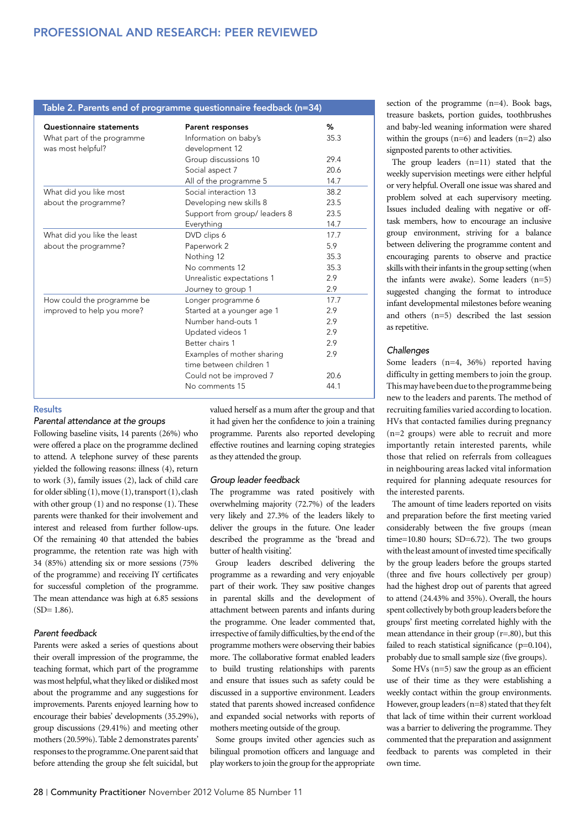| Table 2. Parents end of programme questionnaire feedback (n=34) |                              |      |  |
|-----------------------------------------------------------------|------------------------------|------|--|
| <b>Questionnaire statements</b>                                 | <b>Parent responses</b>      | %    |  |
| What part of the programme                                      | Information on baby's        | 35.3 |  |
| was most helpful?                                               | development 12               |      |  |
|                                                                 | Group discussions 10         | 29.4 |  |
|                                                                 | Social aspect 7              | 20.6 |  |
|                                                                 | All of the programme 5       | 14.7 |  |
| What did you like most                                          | Social interaction 13        | 38.2 |  |
| about the programme?                                            | Developing new skills 8      | 23.5 |  |
|                                                                 | Support from group/leaders 8 | 23.5 |  |
|                                                                 | Everything                   | 14.7 |  |
| What did you like the least                                     | DVD clips 6                  | 17.7 |  |
| about the programme?                                            | Paperwork 2                  | 5.9  |  |
|                                                                 | Nothing 12                   | 35.3 |  |
|                                                                 | No comments 12               | 35.3 |  |
|                                                                 | Unrealistic expectations 1   | 2.9  |  |
|                                                                 | Journey to group 1           | 2.9  |  |
| How could the programme be                                      | Longer programme 6           | 17.7 |  |
| improved to help you more?                                      | Started at a younger age 1   | 2.9  |  |
|                                                                 | Number hand-outs 1           | 2.9  |  |
|                                                                 | Updated videos 1             | 2.9  |  |
|                                                                 | Better chairs 1              | 2.9  |  |
|                                                                 | Examples of mother sharing   | 2.9  |  |
|                                                                 | time between children 1      |      |  |
|                                                                 | Could not be improved 7      | 20.6 |  |
|                                                                 | No comments 15               | 44.1 |  |
|                                                                 |                              |      |  |

## **Results**

#### *Parental attendance at the groups*

Following baseline visits, 14 parents (26%) who were offered a place on the programme declined to attend. A telephone survey of these parents yielded the following reasons: illness (4), return to work (3), family issues (2), lack of child care for older sibling (1), move (1), transport (1), clash with other group (1) and no response (1). These parents were thanked for their involvement and interest and released from further follow-ups. Of the remaining 40 that attended the babies programme, the retention rate was high with 34 (85%) attending six or more sessions (75% of the programme) and receiving IY certificates for successful completion of the programme. The mean attendance was high at 6.85 sessions  $(SD= 1.86)$ .

## *Parent feedback*

Parents were asked a series of questions about their overall impression of the programme, the teaching format, which part of the programme was most helpful, what they liked or disliked most about the programme and any suggestions for improvements. Parents enjoyed learning how to encourage their babies' developments (35.29%), group discussions (29.41%) and meeting other mothers (20.59%). Table 2 demonstrates parents' responses to the programme. One parent said that before attending the group she felt suicidal, but

valued herself as a mum after the group and that it had given her the confidence to join a training programme. Parents also reported developing effective routines and learning coping strategies as they attended the group.

## *Group leader feedback*

The programme was rated positively with overwhelming majority (72.7%) of the leaders very likely and 27.3% of the leaders likely to deliver the groups in the future. One leader described the programme as the 'bread and butter of health visiting'.

Group leaders described delivering the programme as a rewarding and very enjoyable part of their work. They saw positive changes in parental skills and the development of attachment between parents and infants during the programme. One leader commented that, irrespective of family difficulties, by the end of the programme mothers were observing their babies more. The collaborative format enabled leaders to build trusting relationships with parents and ensure that issues such as safety could be discussed in a supportive environment. Leaders stated that parents showed increased confidence and expanded social networks with reports of mothers meeting outside of the group.

Some groups invited other agencies such as bilingual promotion officers and language and play workers to join the group for the appropriate section of the programme (n=4). Book bags, treasure baskets, portion guides, toothbrushes and baby-led weaning information were shared within the groups (n=6) and leaders (n=2) also signposted parents to other activities.

The group leaders (n=11) stated that the weekly supervision meetings were either helpful or very helpful. Overall one issue was shared and problem solved at each supervisory meeting. Issues included dealing with negative or offtask members, how to encourage an inclusive group environment, striving for a balance between delivering the programme content and encouraging parents to observe and practice skills with their infants in the group setting (when the infants were awake). Some leaders (n=5) suggested changing the format to introduce infant developmental milestones before weaning and others (n=5) described the last session as repetitive.

## *Challenges*

Some leaders (n=4, 36%) reported having difficulty in getting members to join the group. This may have been due to the programme being new to the leaders and parents. The method of recruiting families varied according to location. HVs that contacted families during pregnancy (n=2 groups) were able to recruit and more importantly retain interested parents, while those that relied on referrals from colleagues in neighbouring areas lacked vital information required for planning adequate resources for the interested parents.

The amount of time leaders reported on visits and preparation before the first meeting varied considerably between the five groups (mean time=10.80 hours; SD=6.72). The two groups with the least amount of invested time specifically by the group leaders before the groups started (three and five hours collectively per group) had the highest drop out of parents that agreed to attend (24.43% and 35%). Overall, the hours spent collectively by both group leaders before the groups' first meeting correlated highly with the mean attendance in their group (r=.80), but this failed to reach statistical significance  $(p=0.104)$ , probably due to small sample size (five groups).

Some HVs  $(n=5)$  saw the group as an efficient use of their time as they were establishing a weekly contact within the group environments. However, group leaders (n=8) stated that they felt that lack of time within their current workload was a barrier to delivering the programme. They commented that the preparation and assignment feedback to parents was completed in their own time.